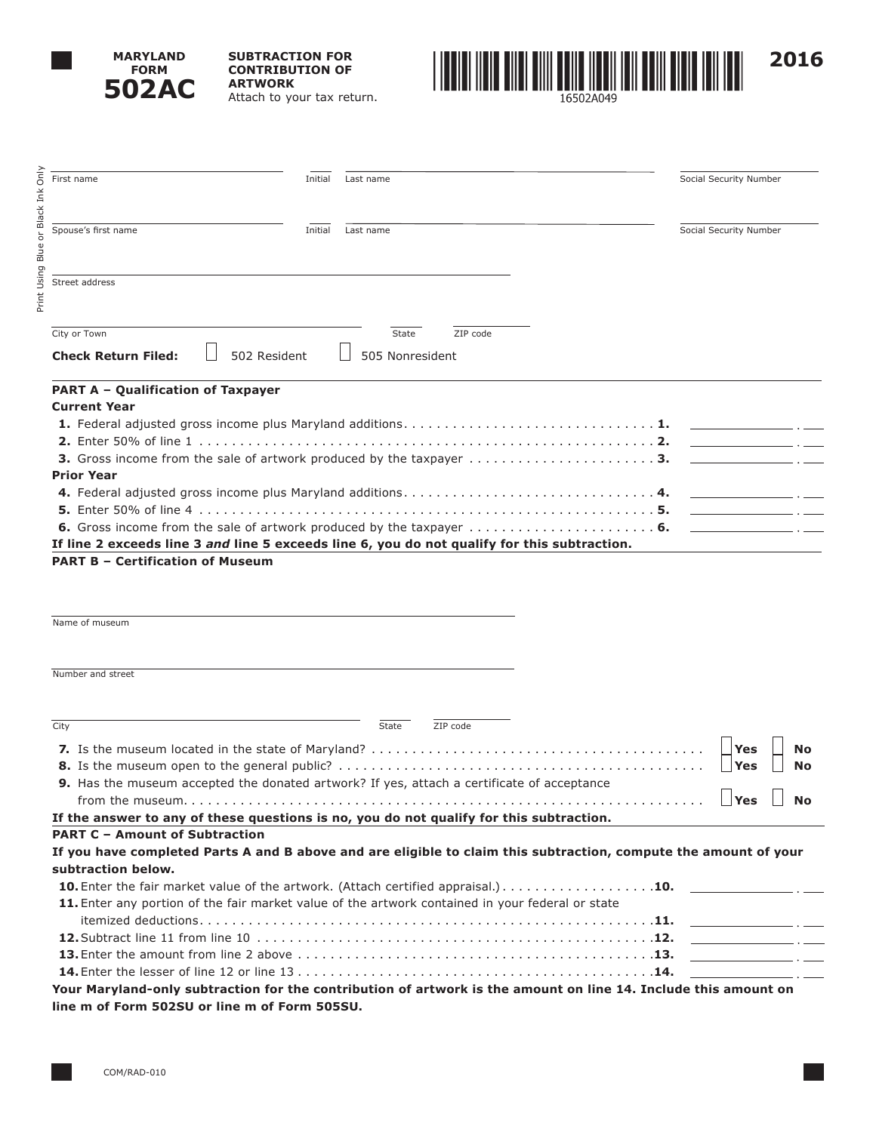

**SUBTRACTION FOR CONTRIBUTION OF ARTWORK** Attach to your tax return.



Print Using Blue or Black Ink Only Only First name Social Security Number and The Initial Last name Social Security Number Social Security Number Ě or Black Spouse's first name **Initial** Last name **Initial** Last name **Initial** Last name Social Security Number Using Blue Street address Print **City or Town State ZIP code Check Return Filed:**  $\Box$  502 Resident  $\Box$  505 Nonresident **PART A – Qualification of Taxpayer Current Year 1.** Federal adjusted gross income plus Maryland additions . . . . . . . . . . . . . . . . . . . . . . . . . . . . . . **1. 2.** Enter 50% of line 1 . . . . . . . . . . . . . . . . . . . . . . . . . . . . . . . . . . . . . . . . . . . . . . . . . . . . . . . **2. 3.** Gross income from the sale of artwork produced by the taxpayer . . . . . . . . . . . . . . . . . . . . . . **3. Prior Year 4.** Federal adjusted gross income plus Maryland additions . . . . . . . . . . . . . . . . . . . . . . . . . . . . . . **4. 5.** Enter 50% of line 4 . . . . . . . . . . . . . . . . . . . . . . . . . . . . . . . . . . . . . . . . . . . . . . . . . . . . . . . **5. 6.** Gross income from the sale of artwork produced by the taxpayer . . . . . . . . . . . . . . . . . . . . . . **6. If line 2 exceeds line 3** *and* **line 5 exceeds line 6, you do not qualify for this subtraction. PART B – Certification of Museum**

**Number and street** City State ZIP code **7.** Is the museum located in the state of Maryland? . . . . . . . . . . . . . . . . . . . . . . . . . . . . . . . . . . . . . . . . . **Yes No 8.** Is the museum open to the general public? . . . . . . . . . . . . . . . . . . . . . . . . . . . . . . . . . . . . . . . . . . . . . **Yes No 9.** Has the museum accepted the donated artwork? If yes, attach a certificate of acceptance from the museum. . . . . . . . . . . . . . . . . . . . . . . . . . . . . . . . . . . . . . . . . . . . . . . . . . . . . . . . . . . . . . . . **Yes No If the answer to any of these questions is no, you do not qualify for this subtraction. PART C – Amount of Subtraction If you have completed Parts A and B above and are eligible to claim this subtraction, compute the amount of your subtraction below. 10.** Enter the fair market value of the artwork. (Attach certified appraisal.) . . . . . . . . . . . . . . . . . . **10. 11.** Enter any portion of the fair market value of the artwork contained in your federal or state itemized deductions . . . . . . . . . . . . . . . . . . . . . . . . . . . . . . . . . . . . . . . . . . . . . . . . . . . . . . . **11. 12.**Subtract line 11 from line 10 . . . . . . . . . . . . . . . . . . . . . . . . . . . . . . . . . . . . . . . . . . . . . . . . **12.**

**14.**Enter the lesser of line 12 or line 13 . . . . . . . . . . . . . . . . . . . . . . . . . . . . . . . . . . . . . . . . . . . **14. Your Maryland-only subtraction for the contribution of artwork is the amount on line 14. Include this amount on line m of Form 502SU or line m of Form 505SU.**

**13.**Enter the amount from line 2 above . . . . . . . . . . . . . . . . . . . . . . . . . . . . . . . . . . . . . . . . . . . **13.**

Name of museum